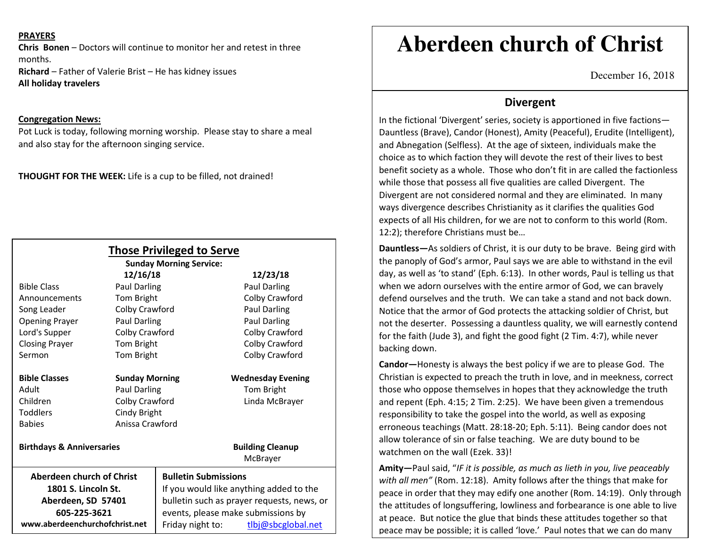## **PRAYERS**

**Chris Bonen** – Doctors will continue to monitor her and retest in three months.

**Richard** – Father of Valerie Brist – He has kidney issues **All holiday travelers** 

### **Congregation News:**

 Pot Luck is today, following morning worship. Please stay to share a meal and also stay for the afternoon singing service.

**THOUGHT FOR THE WEEK:** Life is a cup to be filled, not drained!

|                                                                        |                       | <b>Those Privileged to Serve</b><br><b>Sunday Morning Service:</b>                    |                          |
|------------------------------------------------------------------------|-----------------------|---------------------------------------------------------------------------------------|--------------------------|
|                                                                        | 12/16/18              |                                                                                       | 12/23/18                 |
| <b>Bible Class</b>                                                     | <b>Paul Darling</b>   |                                                                                       | <b>Paul Darling</b>      |
| Announcements                                                          | Tom Bright            |                                                                                       | Colby Crawford           |
| Song Leader                                                            | Colby Crawford        |                                                                                       | Paul Darling             |
| <b>Opening Prayer</b>                                                  | Paul Darling          |                                                                                       | <b>Paul Darling</b>      |
| Lord's Supper                                                          | Colby Crawford        |                                                                                       | Colby Crawford           |
| <b>Closing Prayer</b>                                                  | Tom Bright            |                                                                                       | Colby Crawford           |
| Sermon                                                                 | Tom Bright            |                                                                                       | Colby Crawford           |
| <b>Bible Classes</b>                                                   | <b>Sunday Morning</b> |                                                                                       | <b>Wednesday Evening</b> |
| Adult                                                                  | Paul Darling          |                                                                                       | Tom Bright               |
| Children                                                               | Colby Crawford        |                                                                                       | Linda McBrayer           |
| Toddlers                                                               | Cindy Bright          |                                                                                       |                          |
| <b>Babies</b>                                                          | Anissa Crawford       |                                                                                       |                          |
| <b>Birthdays &amp; Anniversaries</b>                                   |                       |                                                                                       | <b>Building Cleanup</b>  |
|                                                                        |                       |                                                                                       | McBrayer                 |
| Aberdeen church of Christ<br>1801 S. Lincoln St.<br>Aberdeen, SD 57401 |                       | <b>Bulletin Submissions</b>                                                           |                          |
|                                                                        |                       | If you would like anything added to the<br>bulletin such as prayer requests, news, or |                          |
|                                                                        |                       |                                                                                       |                          |
| www.aberdeenchurchofchrist.net                                         |                       | Friday night to:                                                                      | tlbj@sbcglobal.net       |

# **Aberdeen church of Christ**

December 16, 2018

## **Divergent**

In the fictional 'Divergent' series, society is apportioned in five factions— Dauntless (Brave), Candor (Honest), Amity (Peaceful), Erudite (Intelligent), and Abnegation (Selfless). At the age of sixteen, individuals make the choice as to which faction they will devote the rest of their lives to best benefit society as a whole. Those who don't fit in are called the factionless while those that possess all five qualities are called Divergent. The Divergent are not considered normal and they are eliminated. In many ways divergence describes Christianity as it clarifies the qualities God expects of all His children, for we are not to conform to this world (Rom. 12:2); therefore Christians must be…

**Dauntless—**As soldiers of Christ, it is our duty to be brave. Being gird with the panoply of God's armor, Paul says we are able to withstand in the evil day, as well as 'to stand' (Eph. 6:13). In other words, Paul is telling us that when we adorn ourselves with the entire armor of God, we can bravely defend ourselves and the truth. We can take a stand and not back down. Notice that the armor of God protects the attacking soldier of Christ, but not the deserter. Possessing a dauntless quality, we will earnestly contend for the faith (Jude 3), and fight the good fight (2 Tim. 4:7), while never backing down.

**Candor—**Honesty is always the best policy if we are to please God. The Christian is expected to preach the truth in love, and in meekness, correct those who oppose themselves in hopes that they acknowledge the truth and repent (Eph. 4:15; 2 Tim. 2:25). We have been given a tremendous responsibility to take the gospel into the world, as well as exposing erroneous teachings (Matt. 28:18-20; Eph. 5:11). Being candor does not allow tolerance of sin or false teaching. We are duty bound to be watchmen on the wall (Ezek. 33)!

**Amity—**Paul said, "*IF it is possible, as much as lieth in you, live peaceably with all men"* (Rom. 12:18). Amity follows after the things that make for peace in order that they may edify one another (Rom. 14:19). Only through the attitudes of longsuffering, lowliness and forbearance is one able to live at peace. But notice the glue that binds these attitudes together so that peace may be possible; it is called 'love.' Paul notes that we can do many